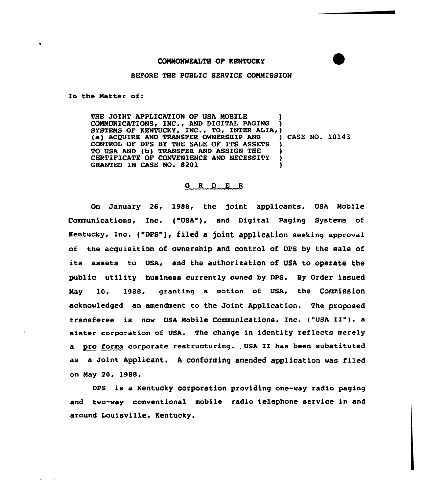## BEFORE THE PUBLIC SERVICE COMMISSION

In the Matter of:

THE JOINT APPLICATION OF USA MOBILE COMMUNICATIONS, INC., AND DIGITAL PAGING SYSTEMS OF KENTUCKY, INC., TO, INTER ALIA, (a) ACQUIRE AND TRANSFER OWNERSHIP AND (ASE NO. 10143 (a) ACQUIRE AND TRANSFER OWNERSHIP AND CONTROL OF DPS BY THE SALE OF ITS ASSETS TO USA AND (b) TRANSFER AND ASSIGN THE CERTIFICATE OF CONVENIENCE AND NECESSITY GRANTED IN CASE NO. 8201

## O R D E R

On January 26, 1988, the joint applicants, USA Mobile Communications, Inc. ("USA"), and Digital Paging Systems of Kentucky, Inc. ("DPS"), filed a joint application seeking approval of the acquisition of ownership and control of DPS by the sale of its assets to USA, and the authorization of USA to operate the public utility business currently owned by DPS. By Order issued May 10, 1988, granting a motion of USA, the Commission acknowledged an amendment to the Joint Application. The proposed transferee is now USA Mobile Communications, Inc. ("USA II"}, <sup>a</sup> sister corporation of USA. The change in identity reflects merely a pro forma corporate restructuring. USA II has been substituted as a Joint Applicant. <sup>A</sup> conforming amended application was filed on May 20, 1988.

DPS is a Kentucky corporation providing one-way radio paging and two-way conventional mobile radio telephone service in and around Louisville, Kentucky.

 $\frac{1}{2} \left( \frac{1}{2} \right) \left( \frac{1}{2} \right) \left( \frac{1}{2} \right) \left( \frac{1}{2} \right) \left( \frac{1}{2} \right) \left( \frac{1}{2} \right) \left( \frac{1}{2} \right) \left( \frac{1}{2} \right) \left( \frac{1}{2} \right) \left( \frac{1}{2} \right) \left( \frac{1}{2} \right) \left( \frac{1}{2} \right) \left( \frac{1}{2} \right) \left( \frac{1}{2} \right) \left( \frac{1}{2} \right) \left( \frac{1}{2} \right) \left( \frac$ 

 $\mathcal{A}$  , we can consider the  $\mathcal{A}$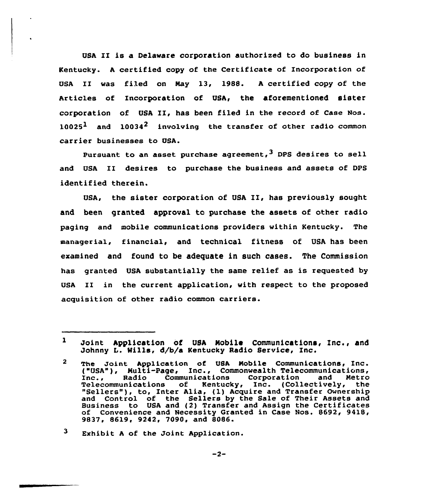USA II is a Delaware corporation authorized to do business in Kentucky. <sup>A</sup> certified copy af the Certificate af Incorporation of USA II was filed on Nay 13, 1988. <sup>A</sup> certified copy of the Articles of Incorporation of USA, the aforementioned sister corporation of USA II, has been filed in the record of Case Nos.  $10025<sup>1</sup>$  and  $10034<sup>2</sup>$  involving the transfer of other radio common carrier businesses to USA.

Pursuant to an asset purchase agreement,  $3$  DPS desires to sell and USA II desires to purchase the business and assets of DPS identified therein.

USA, the sister corporation of USA II, has previously sought and been granted approval tc purchase the assets of other radio paging and mobile communications providers within Kentucky. The managerial, financial, and technical fitness of USA has been examined and found to be adequate in such cases. The Commission has granted USA substantially the same relief as is requested by USA II in the current application, with respect to the proposed acquisition of other radio common carriers.

 $\mathbf{1}$ Joint Application of USA Mobile Communications, Inc., and Johnny L. Mills, d/b/a Kentucky Radio Service, Inc.

 $\mathbf{2}$ The Joint Application of USA Mobile Communications, Inc.<br>("USA"), Multi-Page, Inc., Commonwealth Telecommunications, ("USA"}, Multi-Page, Inc., Commonwealth Telecommunications, Inc., Radio Communications Corporation and Metro Telecommunications of Kentucky, Inc. (Collectively, the<br>"Sellers"), to, Inter Alia, (1) Acquire and Transfer Ownership and Control of the Sellers by the Sale of Their Assets and Business to USA and (2) Transfer and Assign the Certificate of Convenience and Necessity Granted in Case Nos. 8692, 9418, 9837, 8619, 9242, 7090, and 8086.

 $3<sub>1</sub>$ Exhibit <sup>A</sup> of the Joint Application.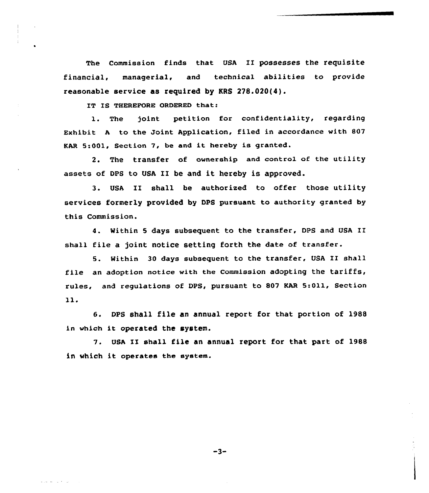The commission finds that UsA II possesses the requisite financial, managerial, and technical abilities to provide reasonable service as required by KRS 278.020(4).

IT IS THEREFORE ORDERED that:

1. The joint petition for confidentiality, regarding Exhibit <sup>A</sup> to the Joint Application, filed in accordance with 807 KAR 5:001, Section 7, be and it hereby is granted.

2. The transfer of ownership and control of the utility assets of DPS to USA II be and it hereby is approved.

3. USA II shall be authorised to offer those utility services formerly provided by DPS pursuant to authority granted by this Commission.

4. Within <sup>5</sup> days subsequent to the transfer, DPS and USA II shall file a joint notice setting forth the date of transfer.

5. Mithin <sup>30</sup> days subsequent to the transfer, USA II shall file an adoption notice with the Commission adopting the tariffs, rules, and regulations of DPS, pursuant to 807 KAR 5:011, Section 11.

6. DPS shall file an annual report for that portion of 1988 in which it operated the system.

7. USA II shall file an annual report for that part of 1988 in which it operates the system.

 $-3-$ 

and the company of the com-